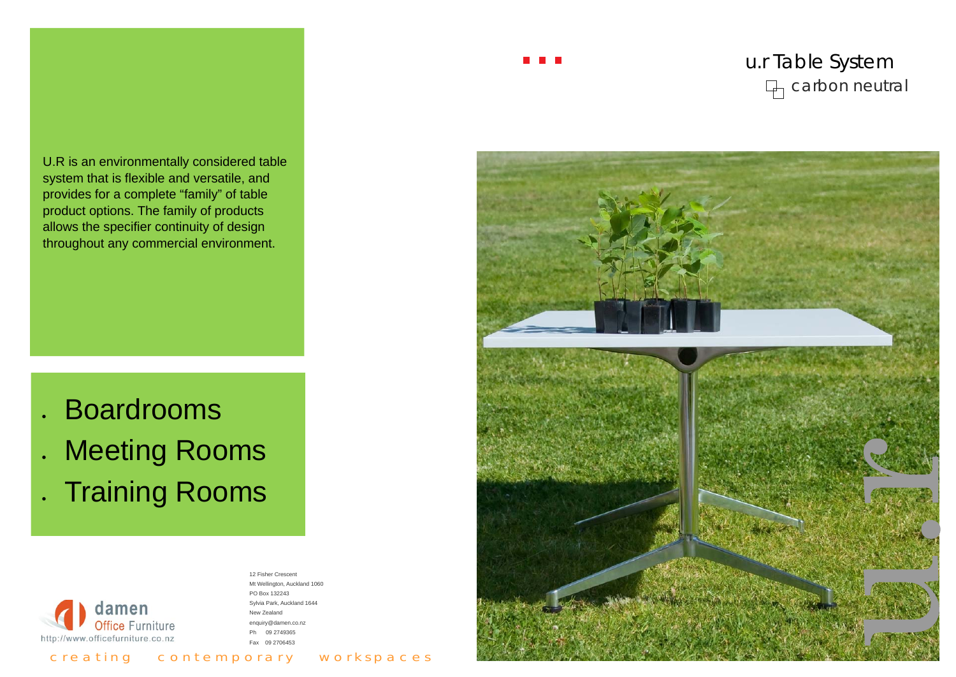## u.r Table System carbon neutral

# Boardrooms

Meeting Rooms

. Training Rooms



U.R is an environmentally considered table system that is flexible and versatile, and provides for a complete "family" of table product options. The family of products allows the specifier continuity of design throughout any commercial environment.

#### 12 Fisher Crescent Mt Wellington, Auckland 1060 PO Box 132243 Sylvia Park, Auckland 1644 New Zealand enquiry@damen.co.nz Ph 09 2749365 Fax 09 2706453

**The Common** 



c r e a ting contemporary workspaces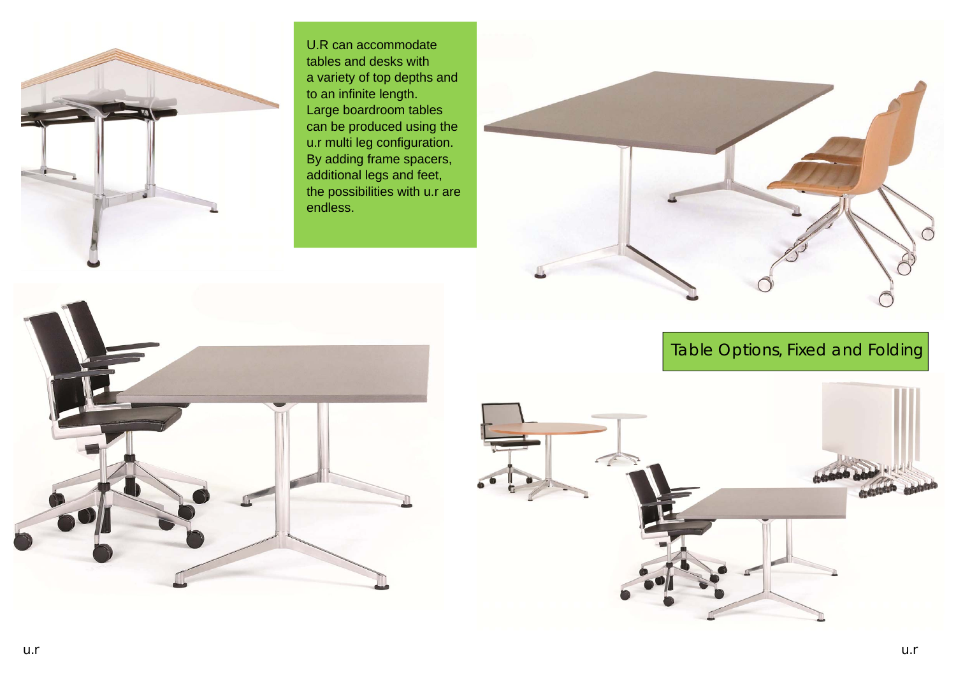

U.R can accommodate tables and desks with a variety of top depths and to an infinite length. Large boardroom tables can be produced using the u.r multi leg configuration. By adding frame spacers, additional legs and feet, the possibilities with u.r are endless.







#### Table Options, Fixed and Folding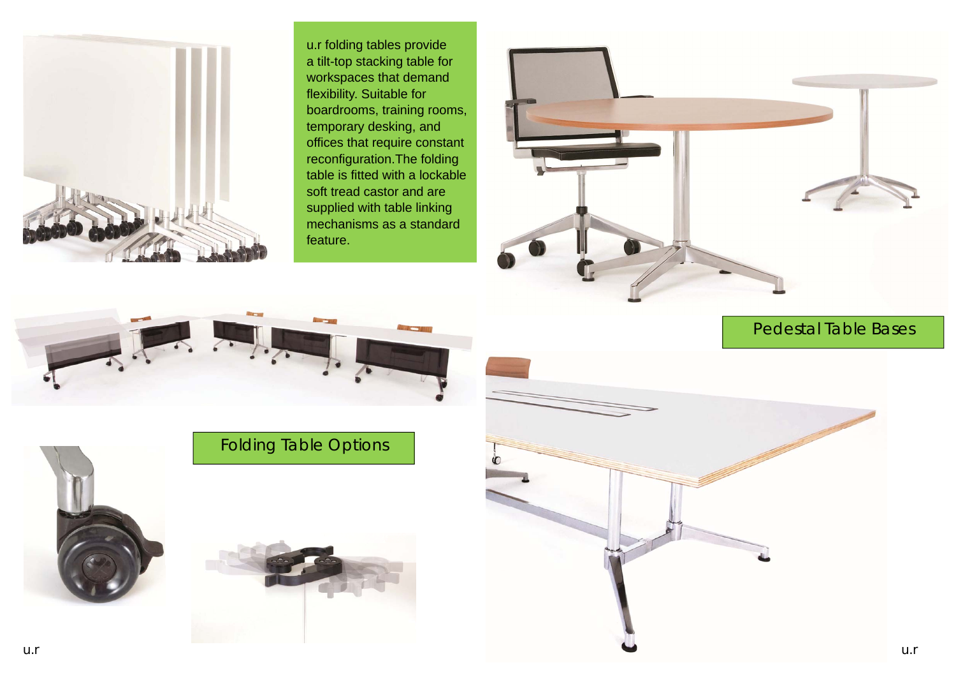

### Folding Table Options





#### Pedestal Table Bases





u.r folding tables provide a tilt-top stacking table for workspaces that demand flexibility. Suitable for boardrooms, training rooms, temporary desking, and offices that require constant reconfiguration.The folding table is fitted with a lockable soft tread castor and are supplied with table linking mechanisms as a standard feature.

![](_page_2_Picture_2.jpeg)

![](_page_2_Picture_3.jpeg)